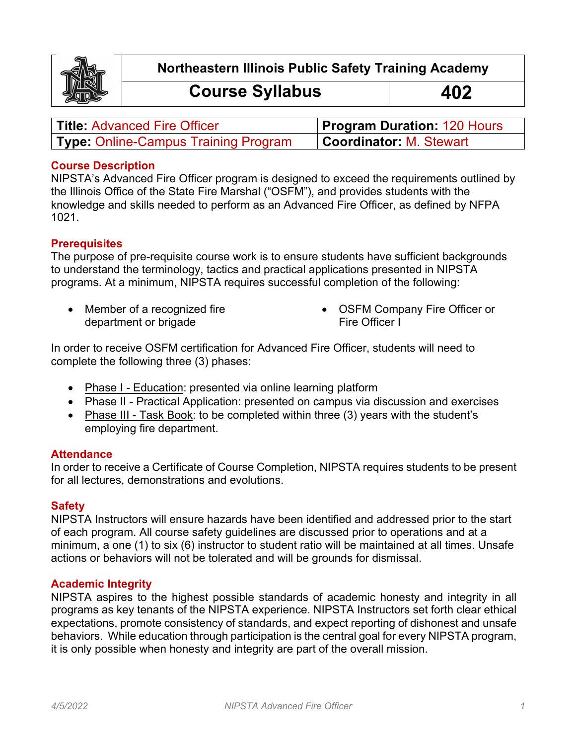

**Northeastern Illinois Public Safety Training Academy**

# **Course Syllabus 402**

| <b>Title: Advanced Fire Officer</b>         | <b>Program Duration: 120 Hours</b> |
|---------------------------------------------|------------------------------------|
| <b>Type: Online-Campus Training Program</b> | <b>Coordinator: M. Stewart</b>     |

## **Course Description**

NIPSTA's Advanced Fire Officer program is designed to exceed the requirements outlined by the Illinois Office of the State Fire Marshal ("OSFM"), and provides students with the knowledge and skills needed to perform as an Advanced Fire Officer, as defined by NFPA 1021.

## **Prerequisites**

The purpose of pre-requisite course work is to ensure students have sufficient backgrounds to understand the terminology, tactics and practical applications presented in NIPSTA programs. At a minimum, NIPSTA requires successful completion of the following:

• Member of a recognized fire department or brigade

• OSFM Company Fire Officer or Fire Officer I

In order to receive OSFM certification for Advanced Fire Officer, students will need to complete the following three (3) phases:

- Phase I Education: presented via online learning platform
- Phase II Practical Application: presented on campus via discussion and exercises
- Phase III Task Book: to be completed within three (3) years with the student's employing fire department.

## **Attendance**

In order to receive a Certificate of Course Completion, NIPSTA requires students to be present for all lectures, demonstrations and evolutions.

## **Safety**

NIPSTA Instructors will ensure hazards have been identified and addressed prior to the start of each program. All course safety guidelines are discussed prior to operations and at a minimum, a one (1) to six (6) instructor to student ratio will be maintained at all times. Unsafe actions or behaviors will not be tolerated and will be grounds for dismissal.

## **Academic Integrity**

NIPSTA aspires to the highest possible standards of academic honesty and integrity in all programs as key tenants of the NIPSTA experience. NIPSTA Instructors set forth clear ethical expectations, promote consistency of standards, and expect reporting of dishonest and unsafe behaviors. While education through participation is the central goal for every NIPSTA program, it is only possible when honesty and integrity are part of the overall mission.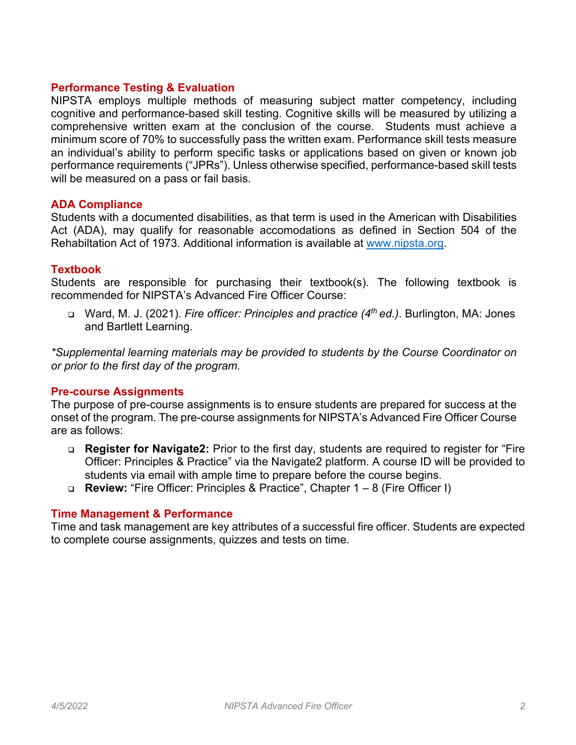## **Performance Testing & Evaluation**

NIPSTA employs multiple methods of measuring subject matter competency, including cognitive and performance-based skill testing. Cognitive skills will be measured by utilizing a comprehensive written exam at the conclusion of the course. Students must achieve a minimum score of 70% to successfully pass the written exam. Performance skill tests measure an individual's ability to perform specific tasks or applications based on given or known job performance requirements ("JPRs"). Unless otherwise specified, performance-based skill tests will be measured on a pass or fail basis.

## **ADA Compliance**

Students with a documented disabilities, as that term is used in the American with Disabilities Act (ADA), may qualify for reasonable accomodations as defined in Section 504 of the Rehabiltation Act of 1973. Additional information is available at www.nipsta.org.

## **Textbook**

Students are responsible for purchasing their textbook(s). The following textbook is recommended for NIPSTA's Advanced Fire Officer Course:

<sup>q</sup> Ward, M. J. (2021). *Fire officer: Principles and practice (4th ed.)*. Burlington, MA: Jones and Bartlett Learning.

*\*Supplemental learning materials may be provided to students by the Course Coordinator on or prior to the first day of the program.*

## **Pre-course Assignments**

The purpose of pre-course assignments is to ensure students are prepared for success at the onset of the program. The pre-course assignments for NIPSTA's Advanced Fire Officer Course are as follows:

- <sup>q</sup> **Register for Navigate2:** Prior to the first day, students are required to register for "Fire Officer: Principles & Practice" via the Navigate2 platform. A course ID will be provided to students via email with ample time to prepare before the course begins.
- <sup>q</sup> **Review:** "Fire Officer: Principles & Practice", Chapter 1 8 (Fire Officer I)

#### **Time Management & Performance**

Time and task management are key attributes of a successful fire officer. Students are expected to complete course assignments, quizzes and tests on time.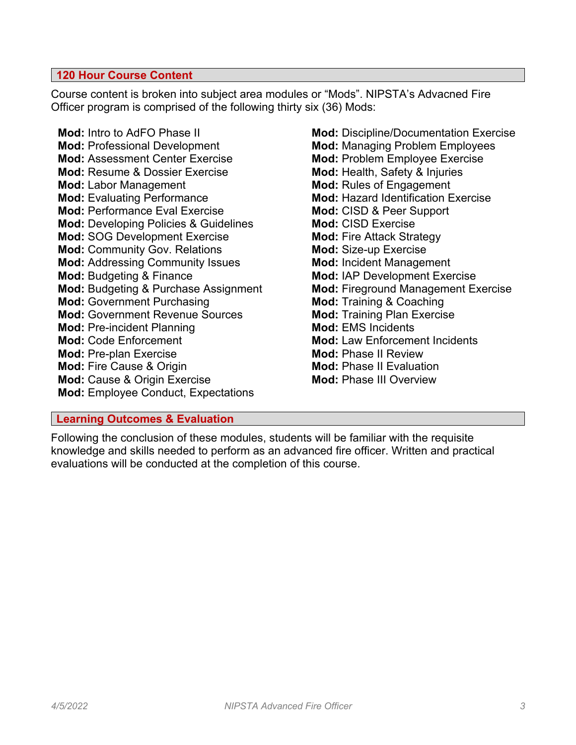## **120 Hour Course Content**

Course content is broken into subject area modules or "Mods". NIPSTA's Advacned Fire Officer program is comprised of the following thirty six (36) Mods:

**Mod:** Intro to AdFO Phase II **Mod:** Professional Development **Mod:** Assessment Center Exercise **Mod:** Resume & Dossier Exercise **Mod:** Labor Management **Mod:** Evaluating Performance **Mod:** Performance Eval Exercise **Mod:** Developing Policies & Guidelines **Mod:** SOG Development Exercise **Mod:** Community Gov. Relations **Mod:** Addressing Community Issues **Mod:** Budgeting & Finance **Mod:** Budgeting & Purchase Assignment **Mod:** Government Purchasing **Mod:** Government Revenue Sources **Mod:** Pre-incident Planning **Mod:** Code Enforcement **Mod:** Pre-plan Exercise **Mod:** Fire Cause & Origin **Mod:** Cause & Origin Exercise **Mod:** Employee Conduct, Expectations

**Mod:** Discipline/Documentation Exercise **Mod:** Managing Problem Employees **Mod:** Problem Employee Exercise **Mod:** Health, Safety & Injuries **Mod:** Rules of Engagement **Mod:** Hazard Identification Exercise **Mod:** CISD & Peer Support **Mod:** CISD Exercise **Mod:** Fire Attack Strategy **Mod:** Size-up Exercise **Mod:** Incident Management **Mod:** IAP Development Exercise **Mod:** Fireground Management Exercise **Mod:** Training & Coaching **Mod:** Training Plan Exercise **Mod:** EMS Incidents **Mod:** Law Enforcement Incidents **Mod:** Phase II Review **Mod:** Phase II Evaluation **Mod:** Phase III Overview

## **Learning Outcomes & Evaluation**

Following the conclusion of these modules, students will be familiar with the requisite knowledge and skills needed to perform as an advanced fire officer. Written and practical evaluations will be conducted at the completion of this course.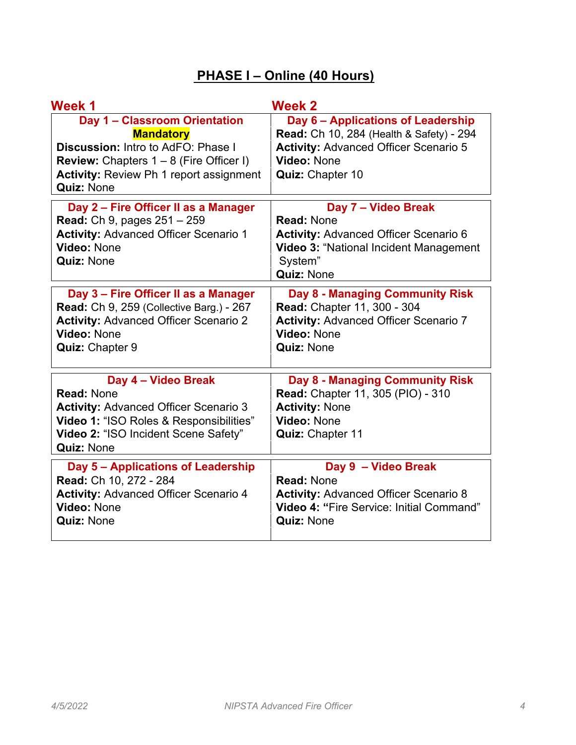# **PHASE I – Online (40 Hours)**

| <b>Week 1</b>                                                                                                                                                                                                                    | <b>Week 2</b>                                                                                                                                                                |
|----------------------------------------------------------------------------------------------------------------------------------------------------------------------------------------------------------------------------------|------------------------------------------------------------------------------------------------------------------------------------------------------------------------------|
| <b>Day 1 - Classroom Orientation</b><br><b>Mandatory</b><br><b>Discussion:</b> Intro to AdFO: Phase I<br><b>Review:</b> Chapters $1 - 8$ (Fire Officer I)<br><b>Activity: Review Ph 1 report assignment</b><br><b>Quiz: None</b> | Day 6 - Applications of Leadership<br><b>Read: Ch 10, 284 (Health &amp; Safety) - 294</b><br><b>Activity: Advanced Officer Scenario 5</b><br>Video: None<br>Quiz: Chapter 10 |
| Day 2 - Fire Officer II as a Manager<br><b>Read:</b> Ch 9, pages 251 - 259<br><b>Activity: Advanced Officer Scenario 1</b><br>Video: None<br><b>Quiz: None</b>                                                                   | Day 7 - Video Break<br><b>Read: None</b><br><b>Activity: Advanced Officer Scenario 6</b><br>Video 3: "National Incident Management<br>System"<br><b>Quiz: None</b>           |
| Day 3 - Fire Officer II as a Manager<br><b>Read: Ch 9, 259 (Collective Barg.) - 267</b><br><b>Activity: Advanced Officer Scenario 2</b><br>Video: None<br>Quiz: Chapter 9                                                        | <b>Day 8 - Managing Community Risk</b><br>Read: Chapter 11, 300 - 304<br><b>Activity: Advanced Officer Scenario 7</b><br>Video: None<br><b>Quiz: None</b>                    |
| Day 4 - Video Break<br><b>Read: None</b><br><b>Activity: Advanced Officer Scenario 3</b><br>Video 1: "ISO Roles & Responsibilities"<br>Video 2: "ISO Incident Scene Safety"<br><b>Quiz: None</b>                                 | <b>Day 8 - Managing Community Risk</b><br><b>Read: Chapter 11, 305 (PIO) - 310</b><br><b>Activity: None</b><br>Video: None<br>Quiz: Chapter 11                               |
| Day 5 - Applications of Leadership<br>Read: Ch 10, 272 - 284<br><b>Activity: Advanced Officer Scenario 4</b><br><b>Video: None</b><br><b>Quiz: None</b>                                                                          | Day 9 - Video Break<br><b>Read: None</b><br><b>Activity: Advanced Officer Scenario 8</b><br><b>Video 4: "Fire Service: Initial Command"</b><br><b>Quiz: None</b>             |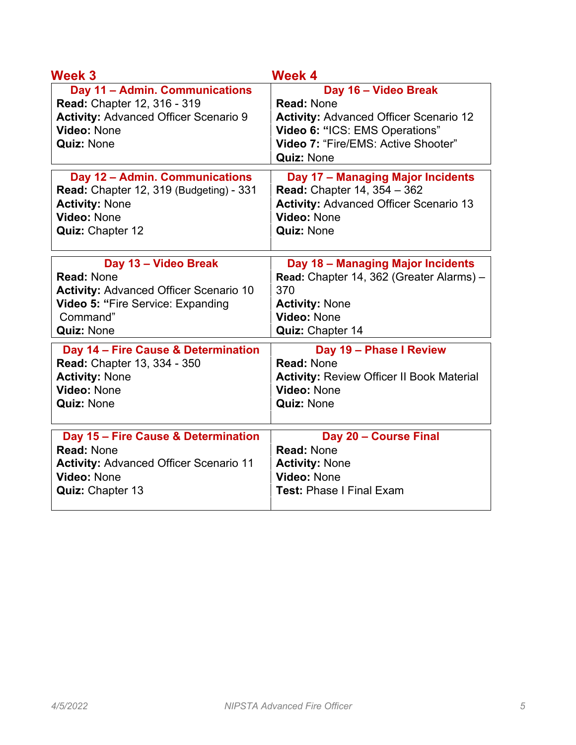| Week 3                                                                                                                                                   | <b>Week 4</b>                                                                                                                                                                            |
|----------------------------------------------------------------------------------------------------------------------------------------------------------|------------------------------------------------------------------------------------------------------------------------------------------------------------------------------------------|
| Day 11 - Admin. Communications<br><b>Read: Chapter 12, 316 - 319</b><br><b>Activity: Advanced Officer Scenario 9</b><br>Video: None<br><b>Quiz: None</b> | Day 16 - Video Break<br><b>Read: None</b><br><b>Activity: Advanced Officer Scenario 12</b><br>Video 6: "ICS: EMS Operations"<br>Video 7: "Fire/EMS: Active Shooter"<br><b>Quiz: None</b> |
| Day 12 - Admin. Communications                                                                                                                           | Day 17 - Managing Major Incidents                                                                                                                                                        |
| Read: Chapter 12, 319 (Budgeting) - 331                                                                                                                  | Read: Chapter 14, 354 - 362                                                                                                                                                              |
| <b>Activity: None</b>                                                                                                                                    | <b>Activity: Advanced Officer Scenario 13</b>                                                                                                                                            |
| Video: None                                                                                                                                              | Video: None                                                                                                                                                                              |
| Quiz: Chapter 12                                                                                                                                         | <b>Quiz: None</b>                                                                                                                                                                        |
| Day 13 - Video Break                                                                                                                                     | Day 18 - Managing Major Incidents                                                                                                                                                        |
| <b>Read: None</b>                                                                                                                                        | Read: Chapter 14, 362 (Greater Alarms) -                                                                                                                                                 |
| <b>Activity: Advanced Officer Scenario 10</b>                                                                                                            | 370                                                                                                                                                                                      |
| Video 5: "Fire Service: Expanding                                                                                                                        | <b>Activity: None</b>                                                                                                                                                                    |
| Command"                                                                                                                                                 | Video: None                                                                                                                                                                              |
| <b>Quiz: None</b>                                                                                                                                        | Quiz: Chapter 14                                                                                                                                                                         |
| Day 14 - Fire Cause & Determination                                                                                                                      | Day 19 - Phase I Review                                                                                                                                                                  |
| Read: Chapter 13, 334 - 350                                                                                                                              | <b>Read: None</b>                                                                                                                                                                        |
| <b>Activity: None</b>                                                                                                                                    | <b>Activity: Review Officer II Book Material</b>                                                                                                                                         |
| Video: None                                                                                                                                              | Video: None                                                                                                                                                                              |
| <b>Quiz: None</b>                                                                                                                                        | <b>Quiz: None</b>                                                                                                                                                                        |
| Day 15 - Fire Cause & Determination                                                                                                                      | Day 20 - Course Final                                                                                                                                                                    |
| <b>Read: None</b>                                                                                                                                        | <b>Read: None</b>                                                                                                                                                                        |
| <b>Activity: Advanced Officer Scenario 11</b>                                                                                                            | <b>Activity: None</b>                                                                                                                                                                    |
| <b>Video: None</b>                                                                                                                                       | Video: None                                                                                                                                                                              |
| Quiz: Chapter 13                                                                                                                                         | <b>Test: Phase I Final Exam</b>                                                                                                                                                          |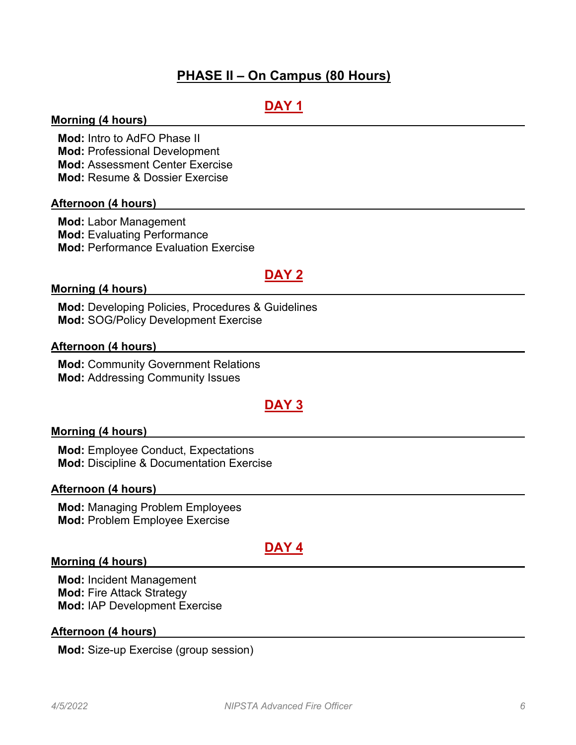## **PHASE II – On Campus (80 Hours)**

## **DAY 1**

## **Morning (4 hours)**

**Mod:** Intro to AdFO Phase II **Mod:** Professional Development **Mod:** Assessment Center Exercise **Mod:** Resume & Dossier Exercise

## **Afternoon (4 hours)**

**Mod:** Labor Management **Mod:** Evaluating Performance **Mod:** Performance Evaluation Exercise

# **DAY 2**

#### **Morning (4 hours)**

**Mod:** Developing Policies, Procedures & Guidelines **Mod:** SOG/Policy Development Exercise

#### **Afternoon (4 hours)**

**Mod:** Community Government Relations **Mod:** Addressing Community Issues

## **DAY 3**

#### **Morning (4 hours)**

**Mod:** Employee Conduct, Expectations **Mod:** Discipline & Documentation Exercise

#### **Afternoon (4 hours)**

**Mod:** Managing Problem Employees **Mod:** Problem Employee Exercise

## **DAY 4**

#### **Morning (4 hours)**

**Mod:** Incident Management **Mod:** Fire Attack Strategy **Mod:** IAP Development Exercise

#### **Afternoon (4 hours)**

**Mod:** Size-up Exercise (group session)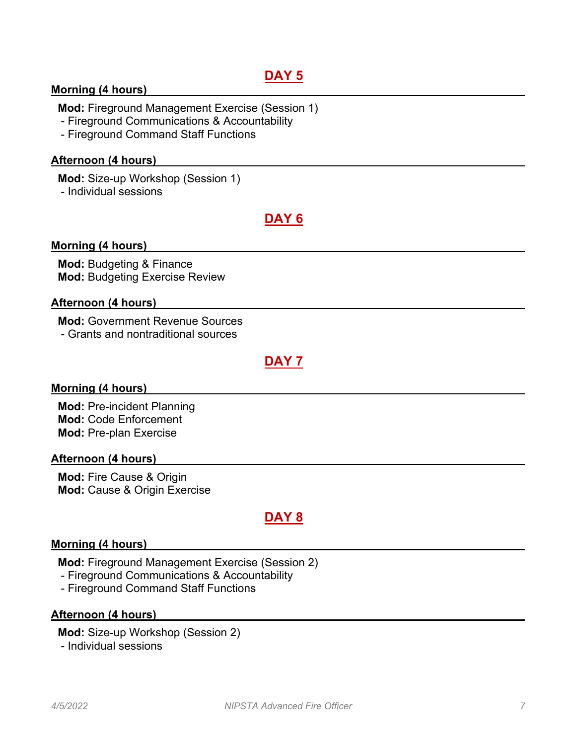# **DAY 5**

## **Morning (4 hours)**

**Mod:** Fireground Management Exercise (Session 1)

- Fireground Communications & Accountability

- Fireground Command Staff Functions

## **Afternoon (4 hours)**

**Mod:** Size-up Workshop (Session 1)

- Individual sessions

# **DAY 6**

## **Morning (4 hours)**

**Mod:** Budgeting & Finance **Mod:** Budgeting Exercise Review

## **Afternoon (4 hours)**

**Mod:** Government Revenue Sources - Grants and nontraditional sources

# **DAY 7**

## **Morning (4 hours)**

**Mod:** Pre-incident Planning **Mod:** Code Enforcement **Mod:** Pre-plan Exercise

#### **Afternoon (4 hours)**

**Mod:** Fire Cause & Origin **Mod:** Cause & Origin Exercise

## **DAY 8**

## **Morning (4 hours)**

**Mod:** Fireground Management Exercise (Session 2)

- Fireground Communications & Accountability
- Fireground Command Staff Functions

## **Afternoon (4 hours)**

**Mod:** Size-up Workshop (Session 2) - Individual sessions